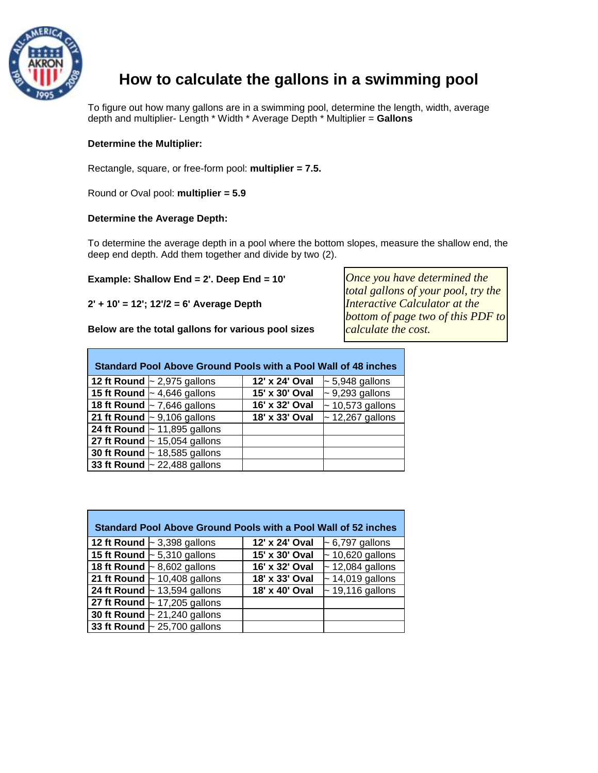

## **How to calculate the gallons in a swimming pool**

To figure out how many gallons are in a swimming pool, determine the length, width, average depth and multiplier- Length \* Width \* Average Depth \* Multiplier = **Gallons**

## **Determine the Multiplier:**

Rectangle, square, or free-form pool: **multiplier = 7.5.**

Round or Oval pool: **multiplier = 5.9**

## **Determine the Average Depth:**

To determine the average depth in a pool where the bottom slopes, measure the shallow end, the deep end depth. Add them together and divide by two (2).

## **Example: Shallow End = 2'. Deep End = 10'**

**2' + 10' = 12'; 12'/2 = 6' Average Depth** 

**Below are the total gallons for various pool sizes** 

*Once you have determined the total gallons of your pool, try the Interactive Calculator at the bottom of page two of this PDF to calculate the cost.*

| <b>Standard Pool Above Ground Pools with a Pool Wall of 48 inches</b> |                                   |                |                       |  |  |  |  |
|-----------------------------------------------------------------------|-----------------------------------|----------------|-----------------------|--|--|--|--|
|                                                                       | 12 ft Round $\sim$ 2,975 gallons  | 12' x 24' Oval | $\sim$ 5,948 gallons  |  |  |  |  |
|                                                                       | 15 ft Round $\sim$ 4,646 gallons  | 15' x 30' Oval | $\sim$ 9,293 gallons  |  |  |  |  |
|                                                                       | 18 ft Round $\sim$ 7,646 gallons  | 16' x 32' Oval | $\sim$ 10,573 gallons |  |  |  |  |
|                                                                       | 21 ft Round $\sim$ 9,106 gallons  | 18' x 33' Oval | $\sim$ 12,267 gallons |  |  |  |  |
|                                                                       | 24 ft Round $\sim$ 11,895 gallons |                |                       |  |  |  |  |
|                                                                       | 27 ft Round $\sim$ 15,054 gallons |                |                       |  |  |  |  |
|                                                                       | 30 ft Round $\sim$ 18,585 gallons |                |                       |  |  |  |  |
|                                                                       | 33 ft Round $\sim$ 22,488 gallons |                |                       |  |  |  |  |

| <b>Standard Pool Above Ground Pools with a Pool Wall of 52 inches</b> |                |                           |  |  |  |  |  |
|-----------------------------------------------------------------------|----------------|---------------------------|--|--|--|--|--|
| 12 ft Round $\sim$ 3,398 gallons                                      | 12' x 24' Oval | $\sim$ 6,797 gallons      |  |  |  |  |  |
| 15 ft Round $\sim$ 5,310 gallons                                      | 15' x 30' Oval | $\sqrt{2}$ 10,620 gallons |  |  |  |  |  |
| 18 ft Round $\sim$ 8,602 gallons                                      | 16' x 32' Oval | $\sim$ 12,084 gallons     |  |  |  |  |  |
| 21 ft Round $\sim$ 10,408 gallons                                     | 18' x 33' Oval | $\sim$ 14,019 gallons     |  |  |  |  |  |
| 24 ft Round $\sim$ 13,594 gallons                                     | 18' x 40' Oval | $\sim$ 19,116 gallons     |  |  |  |  |  |
| 27 ft Round $\sim$ 17,205 gallons                                     |                |                           |  |  |  |  |  |
| 30 ft Round $\sim$ 21,240 gallons                                     |                |                           |  |  |  |  |  |
| 33 ft Round $\sim$ 25,700 gallons                                     |                |                           |  |  |  |  |  |